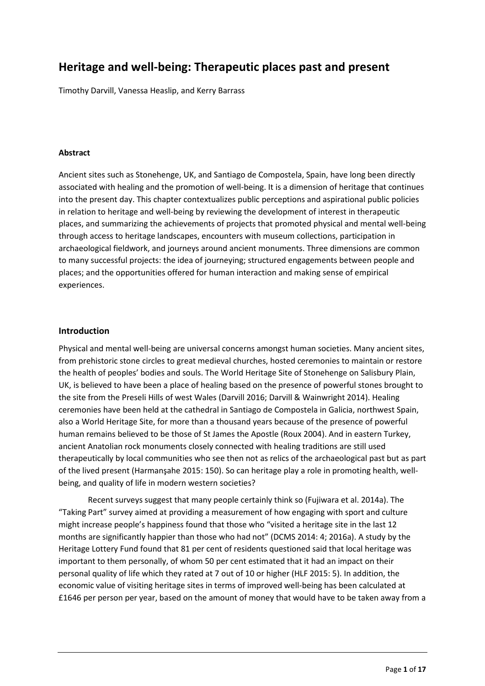# **Heritage and well-being: Therapeutic places past and present**

Timothy Darvill, Vanessa Heaslip, and Kerry Barrass

## **Abstract**

Ancient sites such as Stonehenge, UK, and Santiago de Compostela, Spain, have long been directly associated with healing and the promotion of well-being. It is a dimension of heritage that continues into the present day. This chapter contextualizes public perceptions and aspirational public policies in relation to heritage and well-being by reviewing the development of interest in therapeutic places, and summarizing the achievements of projects that promoted physical and mental well-being through access to heritage landscapes, encounters with museum collections, participation in archaeological fieldwork, and journeys around ancient monuments. Three dimensions are common to many successful projects: the idea of journeying; structured engagements between people and places; and the opportunities offered for human interaction and making sense of empirical experiences.

## **Introduction**

Physical and mental well-being are universal concerns amongst human societies. Many ancient sites, from prehistoric stone circles to great medieval churches, hosted ceremonies to maintain or restore the health of peoples' bodies and souls. The World Heritage Site of Stonehenge on Salisbury Plain, UK, is believed to have been a place of healing based on the presence of powerful stones brought to the site from the Preseli Hills of west Wales (Darvill 2016; Darvill & Wainwright 2014). Healing ceremonies have been held at the cathedral in Santiago de Compostela in Galicia, northwest Spain, also a World Heritage Site, for more than a thousand years because of the presence of powerful human remains believed to be those of St James the Apostle (Roux 2004). And in eastern Turkey, ancient Anatolian rock monuments closely connected with healing traditions are still used therapeutically by local communities who see then not as relics of the archaeological past but as part of the lived present (Harmanşahe 2015: 150). So can heritage play a role in promoting health, wellbeing, and quality of life in modern western societies?

Recent surveys suggest that many people certainly think so (Fujiwara et al. 2014a). The "Taking Part" survey aimed at providing a measurement of how engaging with sport and culture might increase people's happiness found that those who "visited a heritage site in the last 12 months are significantly happier than those who had not" (DCMS 2014: 4; 2016a). A study by the Heritage Lottery Fund found that 81 per cent of residents questioned said that local heritage was important to them personally, of whom 50 per cent estimated that it had an impact on their personal quality of life which they rated at 7 out of 10 or higher (HLF 2015: 5). In addition, the economic value of visiting heritage sites in terms of improved well-being has been calculated at £1646 per person per year, based on the amount of money that would have to be taken away from a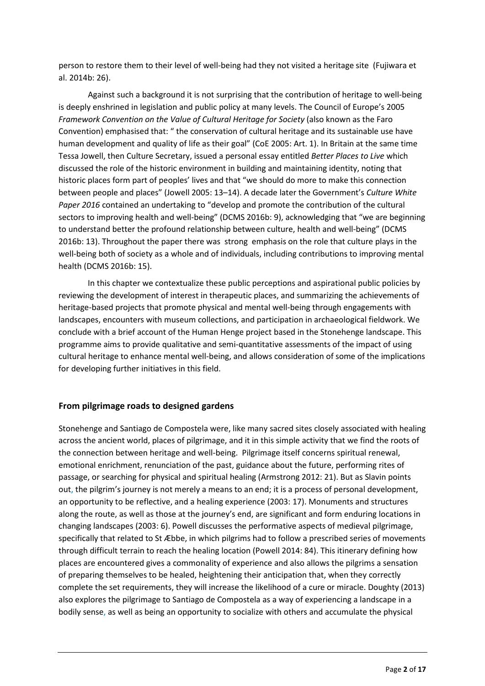person to restore them to their level of well-being had they not visited a heritage site (Fujiwara et al. 2014b: 26).

Against such a background it is not surprising that the contribution of heritage to well-being is deeply enshrined in legislation and public policy at many levels. The Council of Europe's 2005 *Framework Convention on the Value of Cultural Heritage for Society* (also known as the Faro Convention) emphasised that: " the conservation of cultural heritage and its sustainable use have human development and quality of life as their goal" (CoE 2005: Art. 1). In Britain at the same time Tessa Jowell, then Culture Secretary, issued a personal essay entitled *Better Places to Live* which discussed the role of the historic environment in building and maintaining identity, noting that historic places form part of peoples' lives and that "we should do more to make this connection between people and places" (Jowell 2005: 13–14). A decade later the Government's *Culture White Paper 2016* contained an undertaking to "develop and promote the contribution of the cultural sectors to improving health and well-being" (DCMS 2016b: 9), acknowledging that "we are beginning to understand better the profound relationship between culture, health and well-being" (DCMS 2016b: 13). Throughout the paper there was strong emphasis on the role that culture plays in the well-being both of society as a whole and of individuals, including contributions to improving mental health (DCMS 2016b: 15).

In this chapter we contextualize these public perceptions and aspirational public policies by reviewing the development of interest in therapeutic places, and summarizing the achievements of heritage-based projects that promote physical and mental well-being through engagements with landscapes, encounters with museum collections, and participation in archaeological fieldwork. We conclude with a brief account of the Human Henge project based in the Stonehenge landscape. This programme aims to provide qualitative and semi-quantitative assessments of the impact of using cultural heritage to enhance mental well-being, and allows consideration of some of the implications for developing further initiatives in this field.

# **From pilgrimage roads to designed gardens**

Stonehenge and Santiago de Compostela were, like many sacred sites closely associated with healing across the ancient world, places of pilgrimage, and it in this simple activity that we find the roots of the connection between heritage and well-being. Pilgrimage itself concerns spiritual renewal, emotional enrichment, renunciation of the past, guidance about the future, performing rites of passage, or searching for physical and spiritual healing (Armstrong 2012: 21). But as Slavin points out, the pilgrim's journey is not merely a means to an end; it is a process of personal development, an opportunity to be reflective, and a healing experience (2003: 17). Monuments and structures along the route, as well as those at the journey's end, are significant and form enduring locations in changing landscapes (2003: 6). Powell discusses the performative aspects of medieval pilgrimage, specifically that related to St Ӕbbe, in which pilgrims had to follow a prescribed series of movements through difficult terrain to reach the healing location (Powell 2014: 84). This itinerary defining how places are encountered gives a commonality of experience and also allows the pilgrims a sensation of preparing themselves to be healed, heightening their anticipation that, when they correctly complete the set requirements, they will increase the likelihood of a cure or miracle. Doughty (2013) also explores the pilgrimage to Santiago de Compostela as a way of experiencing a landscape in a bodily sense, as well as being an opportunity to socialize with others and accumulate the physical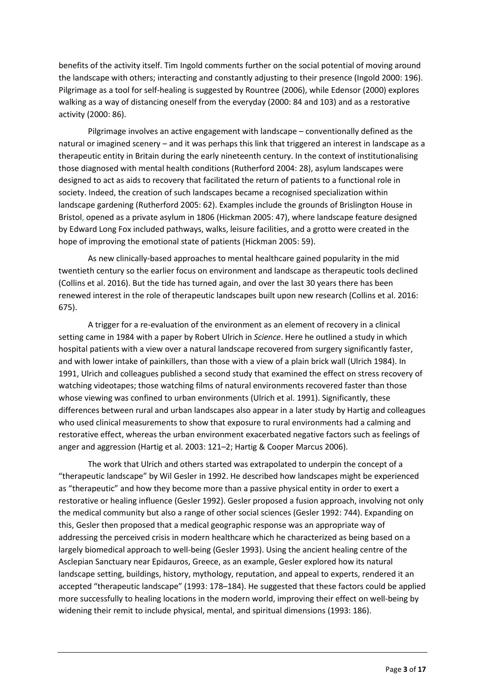benefits of the activity itself. Tim Ingold comments further on the social potential of moving around the landscape with others; interacting and constantly adjusting to their presence (Ingold 2000: 196). Pilgrimage as a tool for self-healing is suggested by Rountree (2006), while Edensor (2000) explores walking as a way of distancing oneself from the everyday (2000: 84 and 103) and as a restorative activity (2000: 86).

Pilgrimage involves an active engagement with landscape – conventionally defined as the natural or imagined scenery – and it was perhaps this link that triggered an interest in landscape as a therapeutic entity in Britain during the early nineteenth century. In the context of institutionalising those diagnosed with mental health conditions (Rutherford 2004: 28), asylum landscapes were designed to act as aids to recovery that facilitated the return of patients to a functional role in society. Indeed, the creation of such landscapes became a recognised specialization within landscape gardening (Rutherford 2005: 62). Examples include the grounds of Brislington House in Bristol, opened as a private asylum in 1806 (Hickman 2005: 47), where landscape feature designed by Edward Long Fox included pathways, walks, leisure facilities, and a grotto were created in the hope of improving the emotional state of patients (Hickman 2005: 59).

As new clinically-based approaches to mental healthcare gained popularity in the mid twentieth century so the earlier focus on environment and landscape as therapeutic tools declined (Collins et al. 2016). But the tide has turned again, and over the last 30 years there has been renewed interest in the role of therapeutic landscapes built upon new research (Collins et al. 2016: 675).

A trigger for a re-evaluation of the environment as an element of recovery in a clinical setting came in 1984 with a paper by Robert Ulrich in *Science*. Here he outlined a study in which hospital patients with a view over a natural landscape recovered from surgery significantly faster, and with lower intake of painkillers, than those with a view of a plain brick wall (Ulrich 1984). In 1991, Ulrich and colleagues published a second study that examined the effect on stress recovery of watching videotapes; those watching films of natural environments recovered faster than those whose viewing was confined to urban environments (Ulrich et al. 1991). Significantly, these differences between rural and urban landscapes also appear in a later study by Hartig and colleagues who used clinical measurements to show that exposure to rural environments had a calming and restorative effect, whereas the urban environment exacerbated negative factors such as feelings of anger and aggression (Hartig et al. 2003: 121–2; Hartig & Cooper Marcus 2006).

The work that Ulrich and others started was extrapolated to underpin the concept of a "therapeutic landscape" by Wil Gesler in 1992. He described how landscapes might be experienced as "therapeutic" and how they become more than a passive physical entity in order to exert a restorative or healing influence (Gesler 1992). Gesler proposed a fusion approach, involving not only the medical community but also a range of other social sciences (Gesler 1992: 744). Expanding on this, Gesler then proposed that a medical geographic response was an appropriate way of addressing the perceived crisis in modern healthcare which he characterized as being based on a largely biomedical approach to well-being (Gesler 1993). Using the ancient healing centre of the Asclepian Sanctuary near Epidauros, Greece, as an example, Gesler explored how its natural landscape setting, buildings, history, mythology, reputation, and appeal to experts, rendered it an accepted "therapeutic landscape" (1993: 178–184). He suggested that these factors could be applied more successfully to healing locations in the modern world, improving their effect on well-being by widening their remit to include physical, mental, and spiritual dimensions (1993: 186).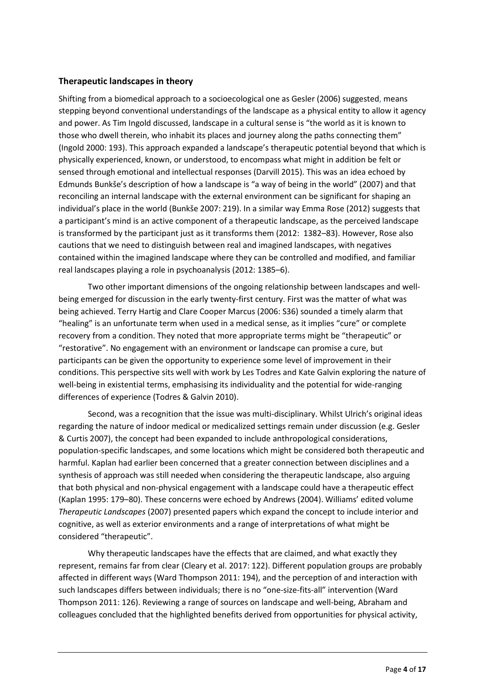# **Therapeutic landscapes in theory**

Shifting from a biomedical approach to a socioecological one as Gesler (2006) suggested, means stepping beyond conventional understandings of the landscape as a physical entity to allow it agency and power. As Tim Ingold discussed, landscape in a cultural sense is "the world as it is known to those who dwell therein, who inhabit its places and journey along the paths connecting them" (Ingold 2000: 193). This approach expanded a landscape's therapeutic potential beyond that which is physically experienced, known, or understood, to encompass what might in addition be felt or sensed through emotional and intellectual responses (Darvill 2015). This was an idea echoed by Edmunds Bunkše's description of how a landscape is "a way of being in the world" (2007) and that reconciling an internal landscape with the external environment can be significant for shaping an individual's place in the world (Bunkše 2007: 219). In a similar way Emma Rose (2012) suggests that a participant's mind is an active component of a therapeutic landscape, as the perceived landscape is transformed by the participant just as it transforms them (2012: 1382–83). However, Rose also cautions that we need to distinguish between real and imagined landscapes, with negatives contained within the imagined landscape where they can be controlled and modified, and familiar real landscapes playing a role in psychoanalysis (2012: 1385–6).

Two other important dimensions of the ongoing relationship between landscapes and wellbeing emerged for discussion in the early twenty-first century. First was the matter of what was being achieved. Terry Hartig and Clare Cooper Marcus (2006: S36) sounded a timely alarm that "healing" is an unfortunate term when used in a medical sense, as it implies "cure" or complete recovery from a condition. They noted that more appropriate terms might be "therapeutic" or "restorative". No engagement with an environment or landscape can promise a cure, but participants can be given the opportunity to experience some level of improvement in their conditions. This perspective sits well with work by Les Todres and Kate Galvin exploring the nature of well-being in existential terms, emphasising its individuality and the potential for wide-ranging differences of experience (Todres & Galvin 2010).

Second, was a recognition that the issue was multi-disciplinary. Whilst Ulrich's original ideas regarding the nature of indoor medical or medicalized settings remain under discussion (e.g. Gesler & Curtis 2007), the concept had been expanded to include anthropological considerations, population-specific landscapes, and some locations which might be considered both therapeutic and harmful. Kaplan had earlier been concerned that a greater connection between disciplines and a synthesis of approach was still needed when considering the therapeutic landscape, also arguing that both physical and non-physical engagement with a landscape could have a therapeutic effect (Kaplan 1995: 179–80). These concerns were echoed by Andrews (2004). Williams' edited volume *Therapeutic Landscapes* (2007) presented papers which expand the concept to include interior and cognitive, as well as exterior environments and a range of interpretations of what might be considered "therapeutic".

Why therapeutic landscapes have the effects that are claimed, and what exactly they represent, remains far from clear (Cleary et al. 2017: 122). Different population groups are probably affected in different ways (Ward Thompson 2011: 194), and the perception of and interaction with such landscapes differs between individuals; there is no "one-size-fits-all" intervention (Ward Thompson 2011: 126). Reviewing a range of sources on landscape and well-being, Abraham and colleagues concluded that the highlighted benefits derived from opportunities for physical activity,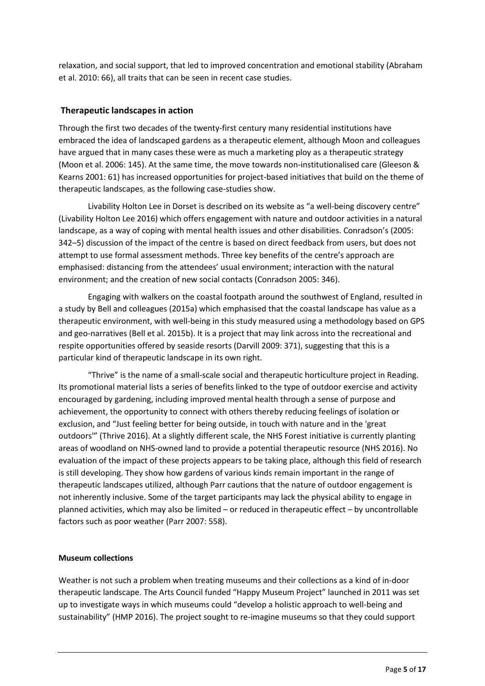relaxation, and social support, that led to improved concentration and emotional stability (Abraham et al. 2010: 66), all traits that can be seen in recent case studies.

# **Therapeutic landscapes in action**

Through the first two decades of the twenty-first century many residential institutions have embraced the idea of landscaped gardens as a therapeutic element, although Moon and colleagues have argued that in many cases these were as much a marketing ploy as a therapeutic strategy (Moon et al. 2006: 145). At the same time, the move towards non-institutionalised care (Gleeson & Kearns 2001: 61) has increased opportunities for project-based initiatives that build on the theme of therapeutic landscapes, as the following case-studies show.

Livability Holton Lee in Dorset is described on its website as "a well-being discovery centre" (Livability Holton Lee 2016) which offers engagement with nature and outdoor activities in a natural landscape, as a way of coping with mental health issues and other disabilities. Conradson's (2005: 342–5) discussion of the impact of the centre is based on direct feedback from users, but does not attempt to use formal assessment methods. Three key benefits of the centre's approach are emphasised: distancing from the attendees' usual environment; interaction with the natural environment; and the creation of new social contacts (Conradson 2005: 346).

Engaging with walkers on the coastal footpath around the southwest of England, resulted in a study by Bell and colleagues (2015a) which emphasised that the coastal landscape has value as a therapeutic environment, with well-being in this study measured using a methodology based on GPS and geo-narratives (Bell et al. 2015b). It is a project that may link across into the recreational and respite opportunities offered by seaside resorts (Darvill 2009: 371), suggesting that this is a particular kind of therapeutic landscape in its own right.

"Thrive" is the name of a small-scale social and therapeutic horticulture project in Reading. Its promotional material lists a series of benefits linked to the type of outdoor exercise and activity encouraged by gardening, including improved mental health through a sense of purpose and achievement, the opportunity to connect with others thereby reducing feelings of isolation or exclusion, and "Just feeling better for being outside, in touch with nature and in the 'great outdoors'" (Thrive 2016). At a slightly different scale, the NHS Forest initiative is currently planting areas of woodland on NHS-owned land to provide a potential therapeutic resource (NHS 2016). No evaluation of the impact of these projects appears to be taking place, although this field of research is still developing. They show how gardens of various kinds remain important in the range of therapeutic landscapes utilized, although Parr cautions that the nature of outdoor engagement is not inherently inclusive. Some of the target participants may lack the physical ability to engage in planned activities, which may also be limited – or reduced in therapeutic effect – by uncontrollable factors such as poor weather (Parr 2007: 558).

# **Museum collections**

Weather is not such a problem when treating museums and their collections as a kind of in-door therapeutic landscape. The Arts Council funded "Happy Museum Project" launched in 2011 was set up to investigate ways in which museums could "develop a holistic approach to well-being and sustainability" (HMP 2016). The project sought to re-imagine museums so that they could support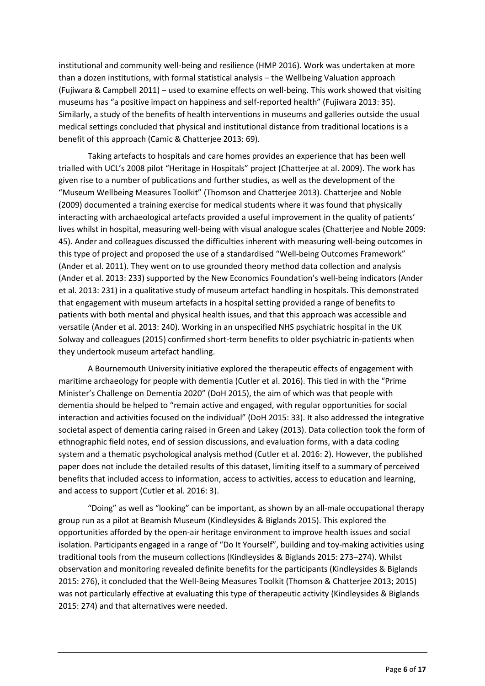institutional and community well-being and resilience (HMP 2016). Work was undertaken at more than a dozen institutions, with formal statistical analysis – the Wellbeing Valuation approach (Fujiwara & Campbell 2011) – used to examine effects on well-being. This work showed that visiting museums has "a positive impact on happiness and self-reported health" (Fujiwara 2013: 35). Similarly, a study of the benefits of health interventions in museums and galleries outside the usual medical settings concluded that physical and institutional distance from traditional locations is a benefit of this approach (Camic & Chatterjee 2013: 69).

Taking artefacts to hospitals and care homes provides an experience that has been well trialled with UCL's 2008 pilot "Heritage in Hospitals" project (Chatterjee at al. 2009). The work has given rise to a number of publications and further studies, as well as the development of the "Museum Wellbeing Measures Toolkit" (Thomson and Chatterjee 2013). Chatterjee and Noble (2009) documented a training exercise for medical students where it was found that physically interacting with archaeological artefacts provided a useful improvement in the quality of patients' lives whilst in hospital, measuring well-being with visual analogue scales (Chatterjee and Noble 2009: 45). Ander and colleagues discussed the difficulties inherent with measuring well-being outcomes in this type of project and proposed the use of a standardised "Well-being Outcomes Framework" (Ander et al. 2011). They went on to use grounded theory method data collection and analysis (Ander et al. 2013: 233) supported by the New Economics Foundation's well-being indicators (Ander et al. 2013: 231) in a qualitative study of museum artefact handling in hospitals. This demonstrated that engagement with museum artefacts in a hospital setting provided a range of benefits to patients with both mental and physical health issues, and that this approach was accessible and versatile (Ander et al. 2013: 240). Working in an unspecified NHS psychiatric hospital in the UK Solway and colleagues (2015) confirmed short-term benefits to older psychiatric in-patients when they undertook museum artefact handling.

A Bournemouth University initiative explored the therapeutic effects of engagement with maritime archaeology for people with dementia (Cutler et al. 2016). This tied in with the "Prime Minister's Challenge on Dementia 2020" (DoH 2015), the aim of which was that people with dementia should be helped to "remain active and engaged, with regular opportunities for social interaction and activities focused on the individual" (DoH 2015: 33). It also addressed the integrative societal aspect of dementia caring raised in Green and Lakey (2013). Data collection took the form of ethnographic field notes, end of session discussions, and evaluation forms, with a data coding system and a thematic psychological analysis method (Cutler et al. 2016: 2). However, the published paper does not include the detailed results of this dataset, limiting itself to a summary of perceived benefits that included access to information, access to activities, access to education and learning, and access to support (Cutler et al. 2016: 3).

"Doing" as well as "looking" can be important, as shown by an all-male occupational therapy group run as a pilot at Beamish Museum (Kindleysides & Biglands 2015). This explored the opportunities afforded by the open-air heritage environment to improve health issues and social isolation. Participants engaged in a range of "Do It Yourself", building and toy-making activities using traditional tools from the museum collections (Kindleysides & Biglands 2015: 273–274). Whilst observation and monitoring revealed definite benefits for the participants (Kindleysides & Biglands 2015: 276), it concluded that the Well-Being Measures Toolkit (Thomson & Chatterjee 2013; 2015) was not particularly effective at evaluating this type of therapeutic activity (Kindleysides & Biglands 2015: 274) and that alternatives were needed.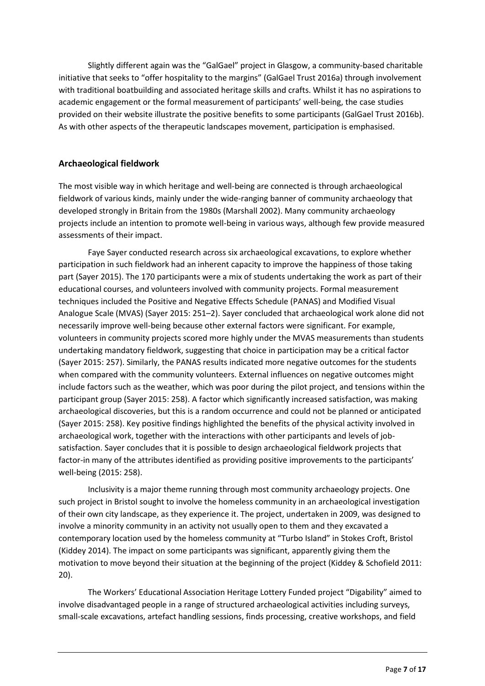Slightly different again was the "GalGael" project in Glasgow, a community-based charitable initiative that seeks to "offer hospitality to the margins" (GalGael Trust 2016a) through involvement with traditional boatbuilding and associated heritage skills and crafts. Whilst it has no aspirations to academic engagement or the formal measurement of participants' well-being, the case studies provided on their website illustrate the positive benefits to some participants (GalGael Trust 2016b). As with other aspects of the therapeutic landscapes movement, participation is emphasised.

# **Archaeological fieldwork**

The most visible way in which heritage and well-being are connected is through archaeological fieldwork of various kinds, mainly under the wide-ranging banner of community archaeology that developed strongly in Britain from the 1980s (Marshall 2002). Many community archaeology projects include an intention to promote well-being in various ways, although few provide measured assessments of their impact.

Faye Sayer conducted research across six archaeological excavations, to explore whether participation in such fieldwork had an inherent capacity to improve the happiness of those taking part (Sayer 2015). The 170 participants were a mix of students undertaking the work as part of their educational courses, and volunteers involved with community projects. Formal measurement techniques included the Positive and Negative Effects Schedule (PANAS) and Modified Visual Analogue Scale (MVAS) (Sayer 2015: 251–2). Sayer concluded that archaeological work alone did not necessarily improve well-being because other external factors were significant. For example, volunteers in community projects scored more highly under the MVAS measurements than students undertaking mandatory fieldwork, suggesting that choice in participation may be a critical factor (Sayer 2015: 257). Similarly, the PANAS results indicated more negative outcomes for the students when compared with the community volunteers. External influences on negative outcomes might include factors such as the weather, which was poor during the pilot project, and tensions within the participant group (Sayer 2015: 258). A factor which significantly increased satisfaction, was making archaeological discoveries, but this is a random occurrence and could not be planned or anticipated (Sayer 2015: 258). Key positive findings highlighted the benefits of the physical activity involved in archaeological work, together with the interactions with other participants and levels of jobsatisfaction. Sayer concludes that it is possible to design archaeological fieldwork projects that factor-in many of the attributes identified as providing positive improvements to the participants' well-being (2015: 258).

Inclusivity is a major theme running through most community archaeology projects. One such project in Bristol sought to involve the homeless community in an archaeological investigation of their own city landscape, as they experience it. The project, undertaken in 2009, was designed to involve a minority community in an activity not usually open to them and they excavated a contemporary location used by the homeless community at "Turbo Island" in Stokes Croft, Bristol (Kiddey 2014). The impact on some participants was significant, apparently giving them the motivation to move beyond their situation at the beginning of the project (Kiddey & Schofield 2011: 20).

The Workers' Educational Association Heritage Lottery Funded project "Digability" aimed to involve disadvantaged people in a range of structured archaeological activities including surveys, small-scale excavations, artefact handling sessions, finds processing, creative workshops, and field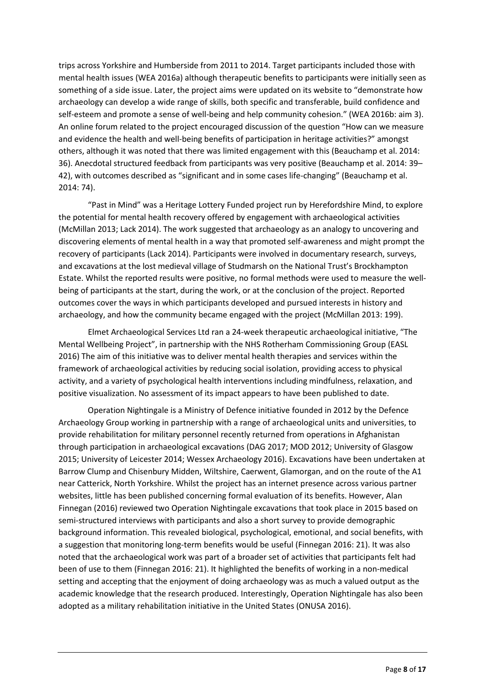trips across Yorkshire and Humberside from 2011 to 2014. Target participants included those with mental health issues (WEA 2016a) although therapeutic benefits to participants were initially seen as something of a side issue. Later, the project aims were updated on its website to "demonstrate how archaeology can develop a wide range of skills, both specific and transferable, build confidence and self-esteem and promote a sense of well-being and help community cohesion." (WEA 2016b: aim 3). An online forum related to the project encouraged discussion of the question "How can we measure and evidence the health and well-being benefits of participation in heritage activities?" amongst others, although it was noted that there was limited engagement with this (Beauchamp et al. 2014: 36). Anecdotal structured feedback from participants was very positive (Beauchamp et al. 2014: 39– 42), with outcomes described as "significant and in some cases life-changing" (Beauchamp et al. 2014: 74).

"Past in Mind" was a Heritage Lottery Funded project run by Herefordshire Mind, to explore the potential for mental health recovery offered by engagement with archaeological activities (McMillan 2013; Lack 2014). The work suggested that archaeology as an analogy to uncovering and discovering elements of mental health in a way that promoted self-awareness and might prompt the recovery of participants (Lack 2014). Participants were involved in documentary research, surveys, and excavations at the lost medieval village of Studmarsh on the National Trust's Brockhampton Estate. Whilst the reported results were positive, no formal methods were used to measure the wellbeing of participants at the start, during the work, or at the conclusion of the project. Reported outcomes cover the ways in which participants developed and pursued interests in history and archaeology, and how the community became engaged with the project (McMillan 2013: 199).

Elmet Archaeological Services Ltd ran a 24-week therapeutic archaeological initiative, "The Mental Wellbeing Project", in partnership with the NHS Rotherham Commissioning Group (EASL 2016) The aim of this initiative was to deliver mental health therapies and services within the framework of archaeological activities by reducing social isolation, providing access to physical activity, and a variety of psychological health interventions including mindfulness, relaxation, and positive visualization. No assessment of its impact appears to have been published to date.

Operation Nightingale is a Ministry of Defence initiative founded in 2012 by the Defence Archaeology Group working in partnership with a range of archaeological units and universities, to provide rehabilitation for military personnel recently returned from operations in Afghanistan through participation in archaeological excavations (DAG 2017; MOD 2012; University of Glasgow 2015; University of Leicester 2014; Wessex Archaeology 2016). Excavations have been undertaken at Barrow Clump and Chisenbury Midden, Wiltshire, Caerwent, Glamorgan, and on the route of the A1 near Catterick, North Yorkshire. Whilst the project has an internet presence across various partner websites, little has been published concerning formal evaluation of its benefits. However, Alan Finnegan (2016) reviewed two Operation Nightingale excavations that took place in 2015 based on semi-structured interviews with participants and also a short survey to provide demographic background information. This revealed biological, psychological, emotional, and social benefits, with a suggestion that monitoring long-term benefits would be useful (Finnegan 2016: 21). It was also noted that the archaeological work was part of a broader set of activities that participants felt had been of use to them (Finnegan 2016: 21). It highlighted the benefits of working in a non-medical setting and accepting that the enjoyment of doing archaeology was as much a valued output as the academic knowledge that the research produced. Interestingly, Operation Nightingale has also been adopted as a military rehabilitation initiative in the United States (ONUSA 2016).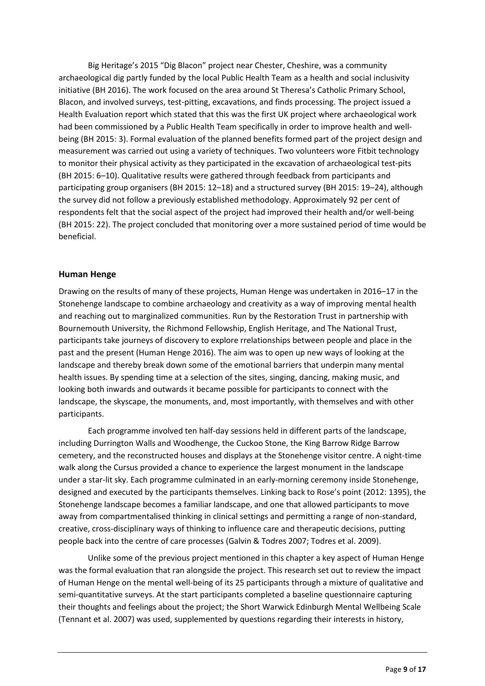Big Heritage's 2015 "Dig Blacon" project near Chester, Cheshire, was a community archaeological dig partly funded by the local Public Health Team as a health and social inclusivity initiative (BH 2016). The work focused on the area around St Theresa's Catholic Primary School, Blacon, and involved surveys, test-pitting, excavations, and finds processing. The project issued a Health Evaluation report which stated that this was the first UK project where archaeological work had been commissioned by a Public Health Team specifically in order to improve health and wellbeing (BH 2015: 3). Formal evaluation of the planned benefits formed part of the project design and measurement was carried out using a variety of techniques. Two volunteers wore Fitbit technology to monitor their physical activity as they participated in the excavation of archaeological test-pits (BH 2015: 6–10). Qualitative results were gathered through feedback from participants and participating group organisers (BH 2015: 12–18) and a structured survey (BH 2015: 19–24), although the survey did not follow a previously established methodology. Approximately 92 per cent of respondents felt that the social aspect of the project had improved their health and/or well-being (BH 2015: 22). The project concluded that monitoring over a more sustained period of time would be beneficial.

## **Human Henge**

Drawing on the results of many of these projects, Human Henge was undertaken in 2016–17 in the Stonehenge landscape to combine archaeology and creativity as a way of improving mental health and reaching out to marginalized communities. Run by the Restoration Trust in partnership with Bournemouth University, the Richmond Fellowship, English Heritage, and The National Trust, participants take journeys of discovery to explore rrelationships between people and place in the past and the present (Human Henge 2016). The aim was to open up new ways of looking at the landscape and thereby break down some of the emotional barriers that underpin many mental health issues. By spending time at a selection of the sites, singing, dancing, making music, and looking both inwards and outwards it became possible for participants to connect with the landscape, the skyscape, the monuments, and, most importantly, with themselves and with other participants.

Each programme involved ten half-day sessions held in different parts of the landscape, including Durrington Walls and Woodhenge, the Cuckoo Stone, the King Barrow Ridge Barrow cemetery, and the reconstructed houses and displays at the Stonehenge visitor centre. A night-time walk along the Cursus provided a chance to experience the largest monument in the landscape under a star-lit sky. Each programme culminated in an early-morning ceremony inside Stonehenge, designed and executed by the participants themselves. Linking back to Rose's point (2012: 1395), the Stonehenge landscape becomes a familiar landscape, and one that allowed participants to move away from compartmentalised thinking in clinical settings and permitting a range of non-standard, creative, cross-disciplinary ways of thinking to influence care and therapeutic decisions, putting people back into the centre of care processes (Galvin & Todres 2007; Todres et al. 2009).

Unlike some of the previous project mentioned in this chapter a key aspect of Human Henge was the formal evaluation that ran alongside the project. This research set out to review the impact of Human Henge on the mental well-being of its 25 participants through a mixture of qualitative and semi-quantitative surveys. At the start participants completed a baseline questionnaire capturing their thoughts and feelings about the project; the Short Warwick Edinburgh Mental Wellbeing Scale (Tennant et al. 2007) was used, supplemented by questions regarding their interests in history,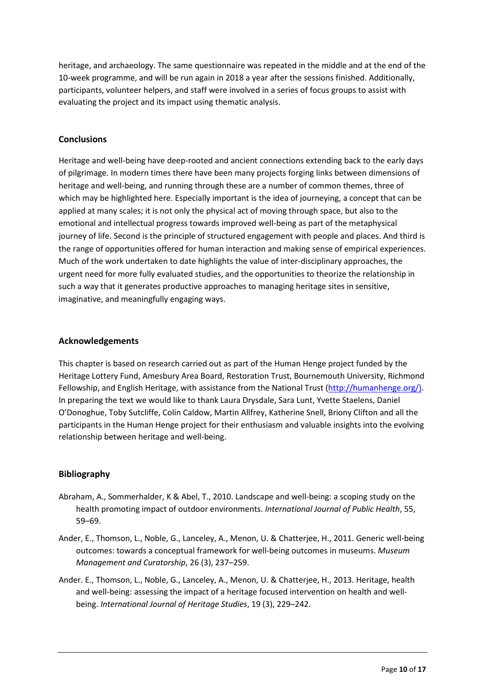heritage, and archaeology. The same questionnaire was repeated in the middle and at the end of the 10-week programme, and will be run again in 2018 a year after the sessions finished. Additionally, participants, volunteer helpers, and staff were involved in a series of focus groups to assist with evaluating the project and its impact using thematic analysis.

## **Conclusions**

Heritage and well-being have deep-rooted and ancient connections extending back to the early days of pilgrimage. In modern times there have been many projects forging links between dimensions of heritage and well-being, and running through these are a number of common themes, three of which may be highlighted here. Especially important is the idea of journeying, a concept that can be applied at many scales; it is not only the physical act of moving through space, but also to the emotional and intellectual progress towards improved well-being as part of the metaphysical journey of life. Second is the principle of structured engagement with people and places. And third is the range of opportunities offered for human interaction and making sense of empirical experiences. Much of the work undertaken to date highlights the value of inter-disciplinary approaches, the urgent need for more fully evaluated studies, and the opportunities to theorize the relationship in such a way that it generates productive approaches to managing heritage sites in sensitive, imaginative, and meaningfully engaging ways.

## **Acknowledgements**

This chapter is based on research carried out as part of the Human Henge project funded by the Heritage Lottery Fund, Amesbury Area Board, Restoration Trust, Bournemouth University, Richmond Fellowship, and English Heritage, with assistance from the National Trust [\(http://humanhenge.org/\)](http://humanhenge.org/). In preparing the text we would like to thank Laura Drysdale, Sara Lunt, Yvette Staelens, Daniel O'Donoghue, Toby Sutcliffe, Colin Caldow, Martin Allfrey, Katherine Snell, Briony Clifton and all the participants in the Human Henge project for their enthusiasm and valuable insights into the evolving relationship between heritage and well-being.

# **Bibliography**

- Abraham, A., Sommerhalder, K & Abel, T., 2010. Landscape and well-being: a scoping study on the health promoting impact of outdoor environments. *International Journal of Public Health*, 55, 59–69.
- Ander, E., Thomson, L., Noble, G., Lanceley, A., Menon, U. & Chatterjee, H., 2011. Generic well-being outcomes: towards a conceptual framework for well-being outcomes in museums. *Museum Management and Curatorship*, 26 (3), 237–259.
- Ander. E., Thomson, L., Noble, G., Lanceley, A., Menon, U. & Chatterjee, H., 2013. Heritage, health and well-being: assessing the impact of a heritage focused intervention on health and wellbeing. *International Journal of Heritage Studies*, 19 (3), 229–242.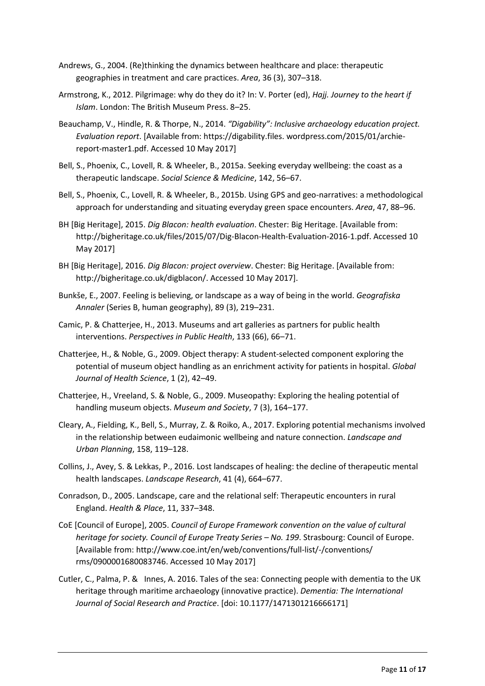- Andrews, G., 2004. (Re)thinking the dynamics between healthcare and place: therapeutic geographies in treatment and care practices. *Area*, 36 (3), 307–318.
- Armstrong, K., 2012. Pilgrimage: why do they do it? In: V. Porter (ed), *Hajj. Journey to the heart if Islam*. London: The British Museum Press. 8–25.
- Beauchamp, V., Hindle, R. & Thorpe, N., 2014. *"Digability": Inclusive archaeology education project. Evaluation report*. [Available from: https://digability.files. wordpress.com/2015/01/archiereport-master1.pdf. Accessed 10 May 2017]
- Bell, S., Phoenix, C., Lovell, R. & Wheeler, B., 2015a. Seeking everyday wellbeing: the coast as a therapeutic landscape. *Social Science & Medicine*, 142, 56–67.
- Bell, S., Phoenix, C., Lovell, R. & Wheeler, B., 2015b. Using GPS and geo-narratives: a methodological approach for understanding and situating everyday green space encounters. *Area*, 47, 88–96.
- BH [Big Heritage], 2015. *Dig Blacon: health evaluation*. Chester: Big Heritage. [Available from: http://bigheritage.co.uk/files/2015/07/Dig-Blacon-Health-Evaluation-2016-1.pdf. Accessed 10 May 2017]
- BH [Big Heritage], 2016. *Dig Blacon: project overview*. Chester: Big Heritage. [Available from: http://bigheritage.co.uk/digblacon/. Accessed 10 May 2017].
- Bunkše, E., 2007. Feeling is believing, or landscape as a way of being in the world. *Geografiska Annaler* (Series B, human geography), 89 (3), 219–231.
- Camic, P. & Chatterjee, H., 2013. Museums and art galleries as partners for public health interventions. *Perspectives in Public Health*, 133 (66), 66–71.
- Chatterjee, H., & Noble, G., 2009. Object therapy: A student-selected component exploring the potential of museum object handling as an enrichment activity for patients in hospital. *Global Journal of Health Science*, 1 (2), 42–49.
- Chatterjee, H., Vreeland, S. & Noble, G., 2009. Museopathy: Exploring the healing potential of handling museum objects. *Museum and Society*, 7 (3), 164–177.
- Cleary, A., Fielding, K., Bell, S., Murray, Z. & Roiko, A., 2017. Exploring potential mechanisms involved in the relationship between eudaimonic wellbeing and nature connection. *Landscape and Urban Planning*, 158, 119–128.
- Collins, J., Avey, S. & Lekkas, P., 2016. Lost landscapes of healing: the decline of therapeutic mental health landscapes. *Landscape Research*, 41 (4), 664–677.
- Conradson, D., 2005. Landscape, care and the relational self: Therapeutic encounters in rural England. *Health & Place*, 11, 337–348.
- CoE [Council of Europe], 2005. *Council of Europe Framework convention on the value of cultural heritage for society. Council of Europe Treaty Series – No. 199*. Strasbourg: Council of Europe. [Available from: http://www.coe.int/en/web/conventions/full-list/-/conventions/ rms/0900001680083746. Accessed 10 May 2017]
- Cutler, C., Palma, P. & Innes, A. 2016. Tales of the sea: Connecting people with dementia to the UK heritage through maritime archaeology (innovative practice). *Dementia: The International Journal of Social Research and Practice*. [doi: 10.1177/1471301216666171]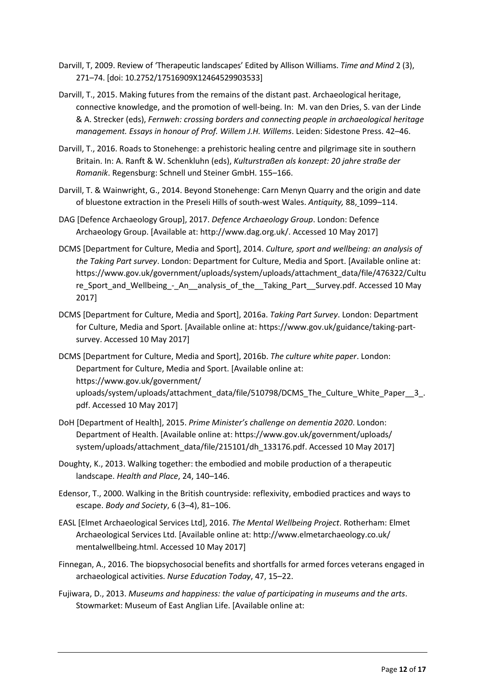- Darvill, T, 2009. Review of 'Therapeutic landscapes' Edited by Allison Williams. *Time and Mind* 2 (3), 271–74. [doi: 10.2752/17516909X12464529903533]
- Darvill, T., 2015. Making futures from the remains of the distant past. Archaeological heritage, connective knowledge, and the promotion of well-being. In: M. van den Dries, S. van der Linde & A. Strecker (eds), *Fernweh: crossing borders and connecting people in archaeological heritage management. Essays in honour of Prof. Willem J.H. Willems*. Leiden: Sidestone Press. 42–46.
- Darvill, T., 2016. Roads to Stonehenge: a prehistoric healing centre and pilgrimage site in southern Britain. In: A. Ranft & W. Schenkluhn (eds), *Kulturstraẞen als konzept: 20 jahre straẞe der Romanik*. Regensburg: Schnell und Steiner GmbH. 155–166.
- Darvill, T. & Wainwright, G., 2014. Beyond Stonehenge: Carn Menyn Quarry and the origin and date of bluestone extraction in the Preseli Hills of south-west Wales. *Antiquity,* 88, 1099–114.
- DAG [Defence Archaeology Group], 2017. *Defence Archaeology Group*. London: Defence Archaeology Group. [Available at: http://www.dag.org.uk/. Accessed 10 May 2017]
- DCMS [Department for Culture, Media and Sport], 2014. *Culture, sport and wellbeing: an analysis of the Taking Part survey*. London: Department for Culture, Media and Sport. [Available online at: https://www.gov.uk/government/uploads/system/uploads/attachment\_data/file/476322/Cultu re Sport and Wellbeing - An analysis of the Taking Part Survey.pdf. Accessed 10 May 2017]
- DCMS [Department for Culture, Media and Sport], 2016a. *Taking Part Survey*. London: Department for Culture, Media and Sport. [Available online at: https://www.gov.uk/guidance/taking-partsurvey. Accessed 10 May 2017]
- DCMS [Department for Culture, Media and Sport], 2016b. *The culture white paper*. London: Department for Culture, Media and Sport. [Available online at: https://www.gov.uk/government/ uploads/system/uploads/attachment\_data/file/510798/DCMS\_The\_Culture\_White\_Paper\_\_3\_. pdf. Accessed 10 May 2017]
- DoH [Department of Health], 2015. *Prime Minister's challenge on dementia 2020*. London: Department of Health. [Available online at: https://www.gov.uk/government/uploads/ system/uploads/attachment\_data/file/215101/dh\_133176.pdf. Accessed 10 May 2017]
- Doughty, K., 2013. Walking together: the embodied and mobile production of a therapeutic landscape. *Health and Place*, 24, 140–146.
- Edensor, T., 2000. Walking in the British countryside: reflexivity, embodied practices and ways to escape. *Body and Society*, 6 (3–4), 81–106.
- EASL [Elmet Archaeological Services Ltd], 2016. *The Mental Wellbeing Project*. Rotherham: Elmet Archaeological Services Ltd. [Available online at: http://www.elmetarchaeology.co.uk/ mentalwellbeing.html. Accessed 10 May 2017]
- Finnegan, A., 2016. The biopsychosocial benefits and shortfalls for armed forces veterans engaged in archaeological activities. *Nurse Education Today*, 47, 15–22.
- Fujiwara, D., 2013. *Museums and happiness: the value of participating in museums and the arts*. Stowmarket: Museum of East Anglian Life. [Available online at: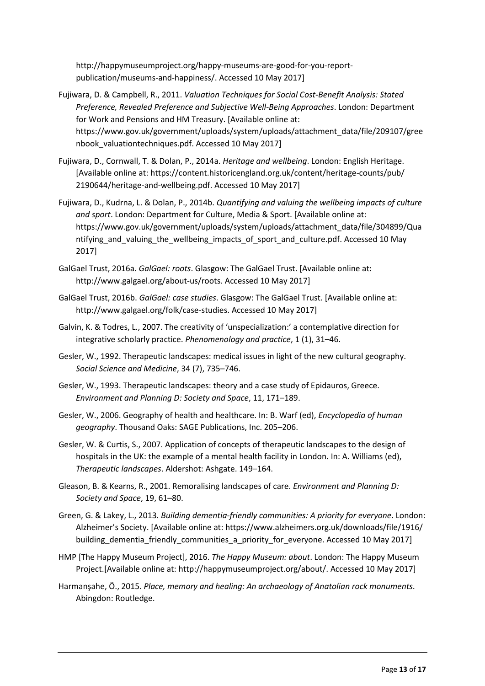http://happymuseumproject.org/happy-museums-are-good-for-you-reportpublication/museums-and-happiness/. Accessed 10 May 2017]

- Fujiwara, D. & Campbell, R., 2011. *Valuation Techniques for Social Cost-Benefit Analysis: Stated Preference, Revealed Preference and Subjective Well-Being Approaches*. London: Department for Work and Pensions and HM Treasury. [Available online at: https://www.gov.uk/government/uploads/system/uploads/attachment\_data/file/209107/gree nbook\_valuationtechniques.pdf. Accessed 10 May 2017]
- Fujiwara, D., Cornwall, T. & Dolan, P., 2014a. *Heritage and wellbeing*. London: English Heritage. [Available online at: https://content.historicengland.org.uk/content/heritage-counts/pub/ 2190644/heritage-and-wellbeing.pdf. Accessed 10 May 2017]
- Fujiwara, D., Kudrna, L. & Dolan, P., 2014b. *Quantifying and valuing the wellbeing impacts of culture and sport*. London: Department for Culture, Media & Sport. [Available online at: https://www.gov.uk/government/uploads/system/uploads/attachment\_data/file/304899/Qua ntifying and valuing the wellbeing impacts of sport and culture.pdf. Accessed 10 May 2017]
- GalGael Trust, 2016a. *GalGael: roots*. Glasgow: The GalGael Trust. [Available online at: http://www.galgael.org/about-us/roots. Accessed 10 May 2017]
- GalGael Trust, 2016b. *GalGael: case studies*. Glasgow: The GalGael Trust. [Available online at: http://www.galgael.org/folk/case-studies. Accessed 10 May 2017]
- Galvin, K. & Todres, L., 2007. The creativity of 'unspecialization:' a contemplative direction for integrative scholarly practice. *Phenomenology and practice*, 1 (1), 31–46.
- Gesler, W., 1992. Therapeutic landscapes: medical issues in light of the new cultural geography. *Social Science and Medicine*, 34 (7), 735–746.
- Gesler, W., 1993. Therapeutic landscapes: theory and a case study of Epidauros, Greece. *Environment and Planning D: Society and Space*, 11, 171–189.
- Gesler, W., 2006. Geography of health and healthcare. In: B. Warf (ed), *Encyclopedia of human geography*. Thousand Oaks: SAGE Publications, Inc. 205–206.
- Gesler, W. & Curtis, S., 2007. Application of concepts of therapeutic landscapes to the design of hospitals in the UK: the example of a mental health facility in London. In: A. Williams (ed), *Therapeutic landscapes*. Aldershot: Ashgate. 149–164.
- Gleason, B. & Kearns, R., 2001. Remoralising landscapes of care. *Environment and Planning D: Society and Space*, 19, 61–80.
- Green, G. & Lakey, L., 2013. *Building dementia-friendly communities: A priority for everyone*. London: Alzheimer's Society. [Available online at: https://www.alzheimers.org.uk/downloads/file/1916/ building dementia friendly communities a priority for everyone. Accessed 10 May 2017]
- HMP [The Happy Museum Project], 2016. *The Happy Museum: about*. London: The Happy Museum Project.[Available online at: http://happymuseumproject.org/about/. Accessed 10 May 2017]
- Harmanşahe, Ö., 2015. *Place, memory and healing: An archaeology of Anatolian rock monuments*. Abingdon: Routledge.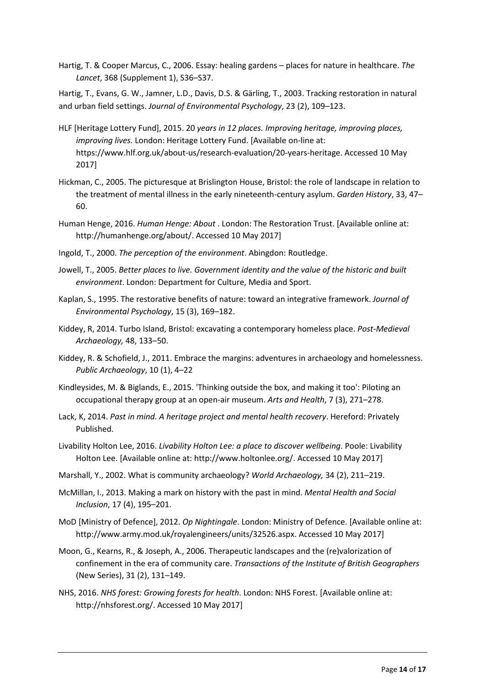Hartig, T. & Cooper Marcus, C., 2006. Essay: healing gardens – places for nature in healthcare. *The Lancet*, 368 (Supplement 1), S36–S37.

Hartig, T., Evans, G. W., Jamner, L.D., Davis, D.S. & Gärling, T., 2003. Tracking restoration in natural and urban field settings. *Journal of Environmental Psychology*, 23 (2), 109–123.

- HLF [Heritage Lottery Fund], 2015. 20 *years in 12 places. Improving heritage, improving places, improving lives.* London: Heritage Lottery Fund. [Available on-line at: https://www.hlf.org.uk/about-us/research-evaluation/20-years-heritage. Accessed 10 May 2017]
- Hickman, C., 2005. The picturesque at Brislington House, Bristol: the role of landscape in relation to the treatment of mental illness in the early nineteenth-century asylum. *Garden History*, 33, 47– 60.
- Human Henge, 2016. *Human Henge: About* . London: The Restoration Trust. [Available online at: http://humanhenge.org/about/. Accessed 10 May 2017]
- Ingold, T., 2000. *The perception of the environment*. Abingdon: Routledge.
- Jowell, T., 2005. *Better places to live. Government identity and the value of the historic and built environment*. London: Department for Culture, Media and Sport.
- Kaplan, S., 1995. The restorative benefits of nature: toward an integrative framework. *Journal of Environmental Psychology*, 15 (3), 169–182.
- Kiddey, R, 2014. Turbo Island, Bristol: excavating a contemporary homeless place. *Post-Medieval Archaeology,* 48, 133–50.
- Kiddey, R. & Schofield, J., 2011. Embrace the margins: adventures in archaeology and homelessness. *Public Archaeology*, 10 (1), 4–22
- Kindleysides, M. & Biglands, E., 2015. 'Thinking outside the box, and making it too': Piloting an occupational therapy group at an open-air museum. *Arts and Health*, 7 (3), 271–278.
- Lack, K, 2014. *Past in mind. A heritage project and mental health recovery*. Hereford: Privately Published.
- Livability Holton Lee, 2016. *Livability Holton Lee: a place to discover wellbeing*. Poole: Livability Holton Lee. [Available online at: http://www.holtonlee.org/. Accessed 10 May 2017]
- Marshall, Y., 2002. What is community archaeology? *World Archaeology,* 34 (2), 211–219.
- McMillan, I., 2013. Making a mark on history with the past in mind. *Mental Health and Social Inclusion*, 17 (4), 195–201.
- MoD [Ministry of Defence], 2012. *Op Nightingale*. London: Ministry of Defence. [Available online at: http://www.army.mod.uk/royalengineers/units/32526.aspx. Accessed 10 May 2017]
- Moon, G., Kearns, R., & Joseph, A., 2006. Therapeutic landscapes and the (re)valorization of confinement in the era of community care. *Transactions of the Institute of British Geographers* (New Series), 31 (2), 131–149.
- NHS, 2016. *NHS forest: Growing forests for health*. London: NHS Forest. [Available online at: http://nhsforest.org/. Accessed 10 May 2017]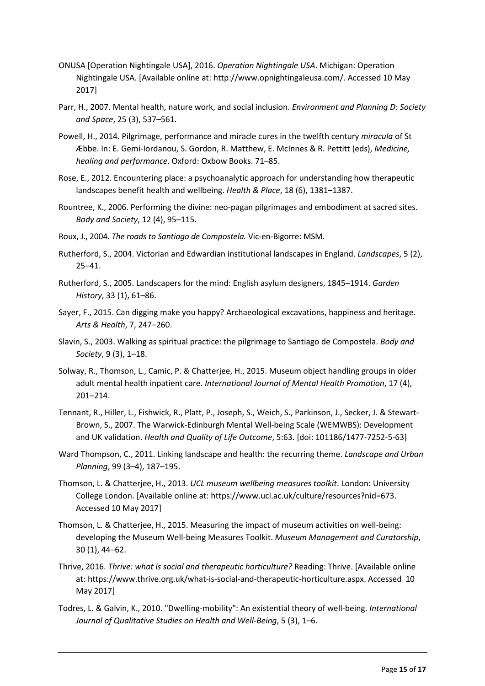- ONUSA [Operation Nightingale USA], 2016. *Operation Nightingale USA*. Michigan: Operation Nightingale USA. [Available online at: http://www.opnightingaleusa.com/. Accessed 10 May 2017]
- Parr, H., 2007. Mental health, nature work, and social inclusion. *Environment and Planning D: Society and Space*, 25 (3), 537–561.
- Powell, H., 2014. Pilgrimage, performance and miracle cures in the twelfth century *miracula* of St Ӕbbe. In: E. Gemi-Iordanou, S. Gordon, R. Matthew, E. McInnes & R. Pettitt (eds), *Medicine, healing and performance*. Oxford: Oxbow Books. 71–85.
- Rose, E., 2012. Encountering place: a psychoanalytic approach for understanding how therapeutic landscapes benefit health and wellbeing. *Health & Place*, 18 (6), 1381–1387.
- Rountree, K., 2006. Performing the divine: neo-pagan pilgrimages and embodiment at sacred sites. *Body and Society*, 12 (4), 95–115.
- Roux, J., 2004. *The roads to Santiago de Compostela.* Vic-en-Bigorre: MSM.
- Rutherford, S., 2004. Victorian and Edwardian institutional landscapes in England. *Landscapes*, 5 (2), 25–41.
- Rutherford, S., 2005. Landscapers for the mind: English asylum designers, 1845–1914. *Garden History*, 33 (1), 61–86.
- Sayer, F., 2015. Can digging make you happy? Archaeological excavations, happiness and heritage. *Arts & Health*, 7, 247–260.
- Slavin, S., 2003. Walking as spiritual practice: the pilgrimage to Santiago de Compostela. *Body and Society*, 9 (3), 1–18.
- Solway, R., Thomson, L., Camic, P. & Chatterjee, H., 2015. Museum object handling groups in older adult mental health inpatient care. *International Journal of Mental Health Promotion*, 17 (4), 201–214.
- Tennant, R., Hiller, L., Fishwick, R., Platt, P., Joseph, S., Weich, S., Parkinson, J., Secker, J. & Stewart-Brown, S., 2007. The Warwick-Edinburgh Mental Well-being Scale (WEMWBS): Development and UK validation. *Health and Quality of Life Outcome*, 5:63. [doi: 101186/1477-7252-5-63]
- Ward Thompson, C., 2011. Linking landscape and health: the recurring theme. *Landscape and Urban Planning*, 99 (3–4), 187–195.
- Thomson, L. & Chatterjee, H., 2013. *UCL museum wellbeing measures toolkit*. London: University College London. [Available online at: https://www.ucl.ac.uk/culture/resources?nid=673. Accessed 10 May 2017]
- Thomson, L. & Chatterjee, H., 2015. Measuring the impact of museum activities on well-being: developing the Museum Well-being Measures Toolkit. *Museum Management and Curatorship*, 30 (1), 44–62.
- Thrive, 2016. *Thrive: what is social and therapeutic horticulture?* Reading: Thrive. [Available online at: https://www.thrive.org.uk/what-is-social-and-therapeutic-horticulture.aspx. Accessed 10 May 2017]
- Todres, L. & Galvin, K., 2010. "Dwelling-mobility": An existential theory of well-being. *International Journal of Qualitative Studies on Health and Well-Being*, 5 (3), 1–6.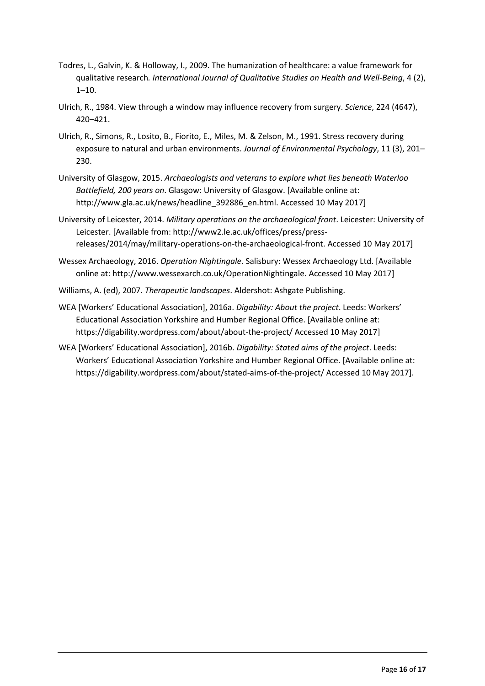- Todres, L., Galvin, K. & Holloway, I., 2009. The humanization of healthcare: a value framework for qualitative research*. International Journal of Qualitative Studies on Health and Well-Being*, 4 (2), 1–10.
- Ulrich, R., 1984. View through a window may influence recovery from surgery. *Science*, 224 (4647), 420–421.
- Ulrich, R., Simons, R., Losito, B., Fiorito, E., Miles, M. & Zelson, M., 1991. Stress recovery during exposure to natural and urban environments. *Journal of Environmental Psychology*, 11 (3), 201– 230.
- University of Glasgow, 2015. *Archaeologists and veterans to explore what lies beneath Waterloo Battlefield, 200 years on*. Glasgow: University of Glasgow. [Available online at: http://www.gla.ac.uk/news/headline\_392886\_en.html. Accessed 10 May 2017]
- University of Leicester, 2014. *Military operations on the archaeological front*. Leicester: University of Leicester. [Available from: http://www2.le.ac.uk/offices/press/pressreleases/2014/may/military-operations-on-the-archaeological-front. Accessed 10 May 2017]
- Wessex Archaeology, 2016. *Operation Nightingale*. Salisbury: Wessex Archaeology Ltd. [Available online at: http://www.wessexarch.co.uk/OperationNightingale. Accessed 10 May 2017]
- Williams, A. (ed), 2007. *Therapeutic landscapes*. Aldershot: Ashgate Publishing.
- WEA [Workers' Educational Association], 2016a. *Digability: About the project*. Leeds: Workers' Educational Association Yorkshire and Humber Regional Office. [Available online at: https://digability.wordpress.com/about/about-the-project/ Accessed 10 May 2017]
- WEA [Workers' Educational Association], 2016b. *Digability: Stated aims of the project*. Leeds: Workers' Educational Association Yorkshire and Humber Regional Office. [Available online at: https://digability.wordpress.com/about/stated-aims-of-the-project/ Accessed 10 May 2017].